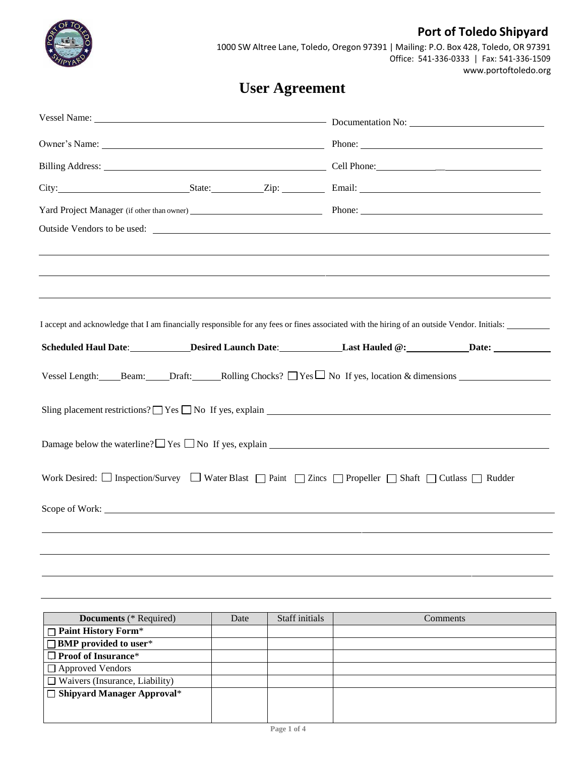

## **Port of Toledo Shipyard**

1000 SW Altree Lane, Toledo, Oregon 97391 | Mailing: P.O. Box 428, Toledo, OR 97391 Office: 541-336-0333 | Fax: 541-336-1509 [www.portoftoledo.org](http://www.portoftoledo.org/)

# **User Agreement**

| Owner's Name: Name: Name: Name: Name: Name: Name: Name: Name: Name: Name: Name: Name: Name: Name: Name: Name: Name: Name: Name: Name: Name: Name: Name: Name: Name: Name: Name: Name: Name: Name: Name: Name: Name: Name: Name |  |  |  |  |  |
|--------------------------------------------------------------------------------------------------------------------------------------------------------------------------------------------------------------------------------|--|--|--|--|--|
|                                                                                                                                                                                                                                |  |  |  |  |  |
| City: State: Zip: Email: Email:                                                                                                                                                                                                |  |  |  |  |  |
|                                                                                                                                                                                                                                |  |  |  |  |  |
| Outside Vendors to be used:                                                                                                                                                                                                    |  |  |  |  |  |
|                                                                                                                                                                                                                                |  |  |  |  |  |
|                                                                                                                                                                                                                                |  |  |  |  |  |
|                                                                                                                                                                                                                                |  |  |  |  |  |
| I accept and acknowledge that I am financially responsible for any fees or fines associated with the hiring of an outside Vendor. Initials:                                                                                    |  |  |  |  |  |
| Scheduled Haul Date: ____________Desired Launch Date: ______________Last Hauled @: ____________Date: _________                                                                                                                 |  |  |  |  |  |
| Vessel Length: Beam: Draft: Rolling Chocks? □ Yes □ No If yes, location & dimensions                                                                                                                                           |  |  |  |  |  |
|                                                                                                                                                                                                                                |  |  |  |  |  |
|                                                                                                                                                                                                                                |  |  |  |  |  |
| Work Desired: $\Box$ Inspection/Survey $\Box$ Water Blast $\Box$ Paint $\Box$ Zincs $\Box$ Propeller $\Box$ Shaft $\Box$ Cutlass $\Box$ Rudder                                                                                 |  |  |  |  |  |
| Scope of Work:                                                                                                                                                                                                                 |  |  |  |  |  |
|                                                                                                                                                                                                                                |  |  |  |  |  |
|                                                                                                                                                                                                                                |  |  |  |  |  |

| <b>Documents</b> (* Required)         | Date | Staff initials | Comments |
|---------------------------------------|------|----------------|----------|
| $\Box$ Paint History Form*            |      |                |          |
| $\Box$ BMP provided to user*          |      |                |          |
| $\Box$ Proof of Insurance*            |      |                |          |
| $\Box$ Approved Vendors               |      |                |          |
| $\Box$ Waivers (Insurance, Liability) |      |                |          |
| $\Box$ Shipyard Manager Approval*     |      |                |          |
|                                       |      |                |          |
|                                       |      |                |          |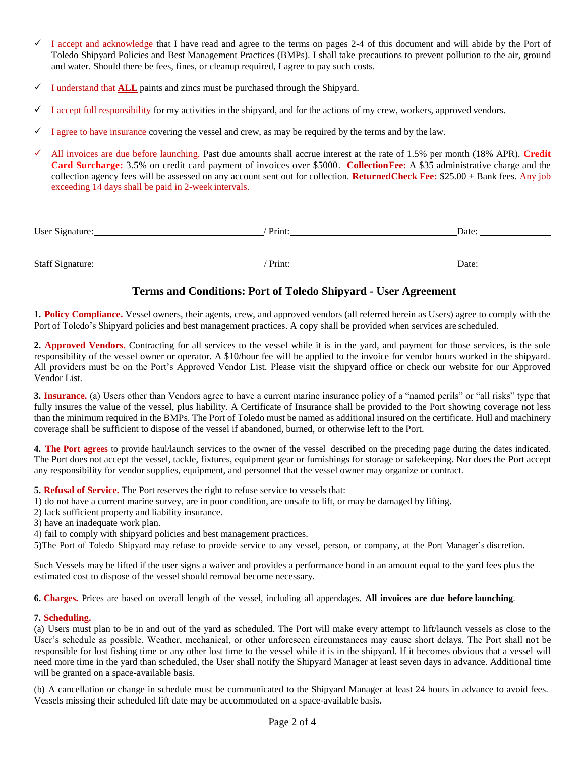- $\checkmark$  I accept and acknowledge that I have read and agree to the terms on pages 2-4 of this document and will abide by the Port of Toledo Shipyard Policies and Best Management Practices (BMPs). I shall take precautions to prevent pollution to the air, ground and water. Should there be fees, fines, or cleanup required, I agree to pay such costs.
- ✓ I understand that **ALL** paints and zincs must be purchased through the Shipyard.
- I accept full responsibility for my activities in the shipyard, and for the actions of my crew, workers, approved vendors.
- I agree to have insurance covering the vessel and crew, as may be required by the terms and by the law.
- All invoices are due before launching. Past due amounts shall accrue interest at the rate of 1.5% per month (18% APR). Credit **Card Surcharge:** 3.5% on credit card payment of invoices over \$5000. **CollectionFee:** A \$35 administrative charge and the collection agency fees will be assessed on any account sent out for collection. **ReturnedCheck Fee:** \$25.00 + Bank fees. Any job exceeding 14 days shall be paid in 2-week intervals.

| User Signature:  | Print: | Date: |
|------------------|--------|-------|
|                  |        |       |
|                  |        |       |
| Staff Signature: | Print: | Date: |

### **Terms and Conditions: Port of Toledo Shipyard - User Agreement**

**1. Policy Compliance.** Vessel owners, their agents, crew, and approved vendors (all referred herein as Users) agree to comply with the Port of Toledo's Shipyard policies and best management practices. A copy shall be provided when services are scheduled.

**2. Approved Vendors.** Contracting for all services to the vessel while it is in the yard, and payment for those services, is the sole responsibility of the vessel owner or operator. A \$10/hour fee will be applied to the invoice for vendor hours worked in the shipyard. All providers must be on the Port's Approved Vendor List. Please visit the shipyard office or check our website for our Approved Vendor List.

**3. Insurance.** (a) Users other than Vendors agree to have a current marine insurance policy of a "named perils" or "all risks" type that fully insures the value of the vessel, plus liability. A Certificate of Insurance shall be provided to the Port showing coverage not less than the minimum required in the BMPs. The Port of Toledo must be named as additional insured on the certificate. Hull and machinery coverage shall be sufficient to dispose of the vessel if abandoned, burned, or otherwise left to the Port.

**4. The Port agrees** to provide haul/launch services to the owner of the vessel described on the preceding page during the dates indicated. The Port does not accept the vessel, tackle, fixtures, equipment gear or furnishings for storage or safekeeping. Nor does the Port accept any responsibility for vendor supplies, equipment, and personnel that the vessel owner may organize or contract.

**5. Refusal of Service.** The Port reserves the right to refuse service to vessels that:

- 1) do not have a current marine survey, are in poor condition, are unsafe to lift, or may be damaged by lifting.
- 2) lack sufficient property and liability insurance.
- 3) have an inadequate work plan.
- 4) fail to comply with shipyard policies and best management practices.

5)The Port of Toledo Shipyard may refuse to provide service to any vessel, person, or company, at the Port Manager's discretion.

Such Vessels may be lifted if the user signs a waiver and provides a performance bond in an amount equal to the yard fees plus the estimated cost to dispose of the vessel should removal become necessary.

**6. Charges.** Prices are based on overall length of the vessel, including all appendages. **All invoices are due before launching**.

#### **7. Scheduling.**

(a) Users must plan to be in and out of the yard as scheduled. The Port will make every attempt to lift/launch vessels as close to the User's schedule as possible. Weather, mechanical, or other unforeseen circumstances may cause short delays. The Port shall not be responsible for lost fishing time or any other lost time to the vessel while it is in the shipyard. If it becomes obvious that a vessel will need more time in the yard than scheduled, the User shall notify the Shipyard Manager at least seven days in advance. Additional time will be granted on a space-available basis.

(b) A cancellation or change in schedule must be communicated to the Shipyard Manager at least 24 hours in advance to avoid fees. Vessels missing their scheduled lift date may be accommodated on a space-available basis.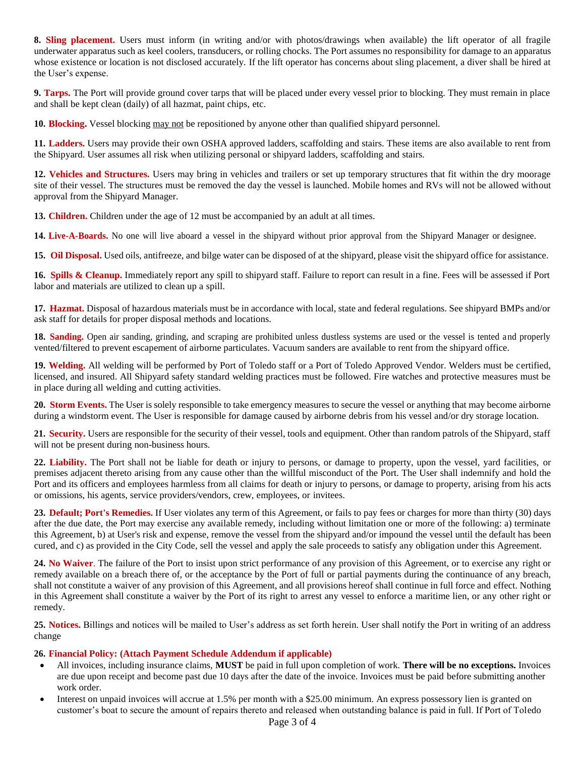**8. Sling placement.** Users must inform (in writing and/or with photos/drawings when available) the lift operator of all fragile underwater apparatus such as keel coolers, transducers, or rolling chocks. The Port assumes no responsibility for damage to an apparatus whose existence or location is not disclosed accurately. If the lift operator has concerns about sling placement, a diver shall be hired at the User's expense.

**9. Tarps.** The Port will provide ground cover tarps that will be placed under every vessel prior to blocking. They must remain in place and shall be kept clean (daily) of all hazmat, paint chips, etc.

**10. Blocking.** Vessel blocking may not be repositioned by anyone other than qualified shipyard personnel.

**11. Ladders.** Users may provide their own OSHA approved ladders, scaffolding and stairs. These items are also available to rent from the Shipyard. User assumes all risk when utilizing personal or shipyard ladders, scaffolding and stairs.

**12. Vehicles and Structures.** Users may bring in vehicles and trailers or set up temporary structures that fit within the dry moorage site of their vessel. The structures must be removed the day the vessel is launched. Mobile homes and RVs will not be allowed without approval from the Shipyard Manager.

**13. Children.** Children under the age of 12 must be accompanied by an adult at all times.

**14. Live-A-Boards.** No one will live aboard a vessel in the shipyard without prior approval from the Shipyard Manager or designee.

**15. Oil Disposal.** Used oils, antifreeze, and bilge water can be disposed of at the shipyard, please visit the shipyard office for assistance.

**16. Spills & Cleanup.** Immediately report any spill to shipyard staff. Failure to report can result in a fine. Fees will be assessed if Port labor and materials are utilized to clean up a spill.

**17. Hazmat.** Disposal of hazardous materials must be in accordance with local, state and federal regulations. See shipyard BMPs and/or ask staff for details for proper disposal methods and locations.

18. **Sanding.** Open air sanding, grinding, and scraping are prohibited unless dustless systems are used or the vessel is tented and properly vented/filtered to prevent escapement of airborne particulates. Vacuum sanders are available to rent from the shipyard office.

**19. Welding.** All welding will be performed by Port of Toledo staff or a Port of Toledo Approved Vendor. Welders must be certified, licensed, and insured. All Shipyard safety standard welding practices must be followed. Fire watches and protective measures must be in place during all welding and cutting activities.

**20. Storm Events.** The User is solely responsible to take emergency measures to secure the vessel or anything that may become airborne during a windstorm event. The User is responsible for damage caused by airborne debris from his vessel and/or dry storage location.

**21. Security.** Users are responsible for the security of their vessel, tools and equipment. Other than random patrols of the Shipyard, staff will not be present during non-business hours.

**22. Liability.** The Port shall not be liable for death or injury to persons, or damage to property, upon the vessel, yard facilities, or premises adjacent thereto arising from any cause other than the willful misconduct of the Port. The User shall indemnify and hold the Port and its officers and employees harmless from all claims for death or injury to persons, or damage to property, arising from his acts or omissions, his agents, service providers/vendors, crew, employees, or invitees.

**23. Default; Port's Remedies.** If User violates any term of this Agreement, or fails to pay fees or charges for more than thirty (30) days after the due date, the Port may exercise any available remedy, including without limitation one or more of the following: a) terminate this Agreement, b) at User's risk and expense, remove the vessel from the shipyard and/or impound the vessel until the default has been cured, and c) as provided in the City Code, sell the vessel and apply the sale proceeds to satisfy any obligation under this Agreement.

**24. No Waiver**. The failure of the Port to insist upon strict performance of any provision of this Agreement, or to exercise any right or remedy available on a breach there of, or the acceptance by the Port of full or partial payments during the continuance of any breach, shall not constitute a waiver of any provision of this Agreement, and all provisions hereof shall continue in full force and effect. Nothing in this Agreement shall constitute a waiver by the Port of its right to arrest any vessel to enforce a maritime lien, or any other right or remedy.

**25. Notices.** Billings and notices will be mailed to User's address as set forth herein. User shall notify the Port in writing of an address change

#### **26. Financial Policy: (Attach Payment Schedule Addendum if applicable)**

- All invoices, including insurance claims, **MUST** be paid in full upon completion of work. **There will be no exceptions.** Invoices are due upon receipt and become past due 10 days after the date of the invoice. Invoices must be paid before submitting another work order.
- Interest on unpaid invoices will accrue at 1.5% per month with a \$25.00 minimum. An express possessory lien is granted on customer's boat to secure the amount of repairs thereto and released when outstanding balance is paid in full. If Port of Toledo